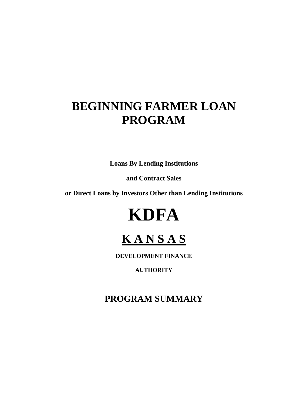# **BEGINNING FARMER LOAN PROGRAM**

**Loans By Lending Institutions**

**and Contract Sales**

**or Direct Loans by Investors Other than Lending Institutions**



# **K A N S A S**

**DEVELOPMENT FINANCE**

**AUTHORITY**

**PROGRAM SUMMARY**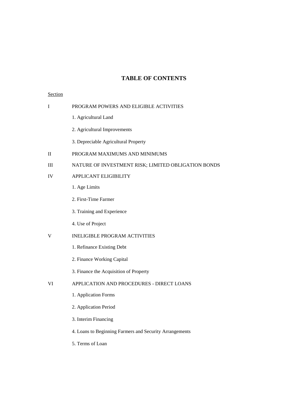# **TABLE OF CONTENTS**

| Section      |                                                         |
|--------------|---------------------------------------------------------|
| I            | PROGRAM POWERS AND ELIGIBLE ACTIVITIES                  |
|              | 1. Agricultural Land                                    |
|              | 2. Agricultural Improvements                            |
|              | 3. Depreciable Agricultural Property                    |
| $\mathbf{I}$ | PROGRAM MAXIMUMS AND MINIMUMS                           |
| Ш            | NATURE OF INVESTMENT RISK; LIMITED OBLIGATION BONDS     |
| IV           | <b>APPLICANT ELIGIBILITY</b>                            |
|              | 1. Age Limits                                           |
|              | 2. First-Time Farmer                                    |
|              | 3. Training and Experience                              |
|              | 4. Use of Project                                       |
| V            | <b>INELIGIBLE PROGRAM ACTIVITIES</b>                    |
|              | 1. Refinance Existing Debt                              |
|              | 2. Finance Working Capital                              |
|              | 3. Finance the Acquisition of Property                  |
| VI           | APPLICATION AND PROCEDURES - DIRECT LOANS               |
|              | 1. Application Forms                                    |
|              | 2. Application Period                                   |
|              | 3. Interim Financing                                    |
|              | 4. Loans to Beginning Farmers and Security Arrangements |
|              |                                                         |

5. Terms of Loan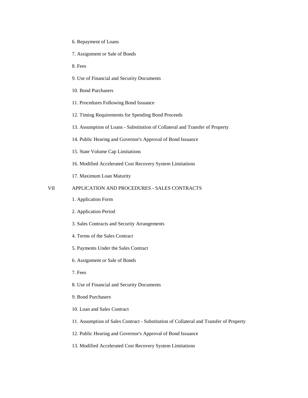- 6. Repayment of Loans
- 7. Assignment or Sale of Bonds
- 8. Fees
- 9. Use of Financial and Security Documents
- 10. Bond Purchasers
- 11. Procedures Following Bond Issuance
- 12. Timing Requirements for Spending Bond Proceeds
- 13. Assumption of Loans Substitution of Collateral and Transfer of Property
- 14. Public Hearing and Governor's Approval of Bond Issuance
- 15. State Volume Cap Limitations
- 16. Modified Accelerated Cost Recovery System Limitations
- 17. Maximum Loan Maturity

# VII APPLICATION AND PROCEDURES - SALES CONTRACTS

- 1. Application Form
- 2. Application Period
- 3. Sales Contracts and Security Arrangements
- 4. Terms of the Sales Contract
- 5. Payments Under the Sales Contract
- 6. Assignment or Sale of Bonds
- 7. Fees
- 8. Use of Financial and Security Documents
- 9. Bond Purchasers
- 10. Loan and Sales Contract
- 11. Assumption of Sales Contract Substitution of Collateral and Transfer of Property
- 12. Public Hearing and Governor's Approval of Bond Issuance
- 13. Modified Accelerated Cost Recovery System Limitations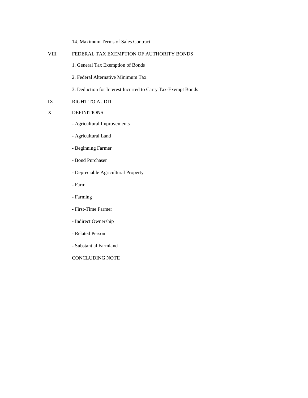14. Maximum Terms of Sales Contract

- VIII FEDERAL TAX EXEMPTION OF AUTHORITY BONDS
	- 1. General Tax Exemption of Bonds
	- 2. Federal Alternative Minimum Tax
	- 3. Deduction for Interest Incurred to Carry Tax-Exempt Bonds
- IX RIGHT TO AUDIT
- X DEFINITIONS
	- Agricultural Improvements
	- Agricultural Land
	- Beginning Farmer
	- Bond Purchaser
	- Depreciable Agricultural Property
	- Farm
	- Farming
	- First-Time Farmer
	- Indirect Ownership
	- Related Person
	- Substantial Farmland

CONCLUDING NOTE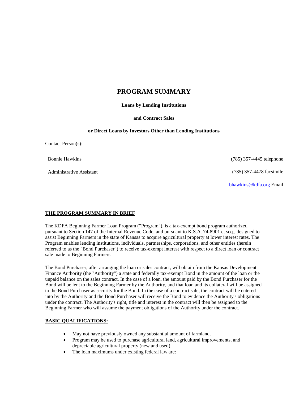# **PROGRAM SUMMARY**

# **Loans by Lending Institutions**

# **and Contract Sales**

#### **or Direct Loans by Investors Other than Lending Institutions**

Contact Person(s):

Bonnie Hawkins

Administrative Assistant

(785) 357-4445 telephone

(785) 357-4478 facsimile

[bhawkins@kdfa.org](mailto:bhawkins@kdfa.org) Email

#### **THE PROGRAM SUMMARY IN BRIEF**

The KDFA Beginning Farmer Loan Program ("Program"), is a tax-exempt bond program authorized pursuant to Section 147 of the Internal Revenue Code, and pursuant to K.S.A. 74-8901 et seq., designed to assist Beginning Farmers in the state of Kansas to acquire agricultural property at lower interest rates. The Program enables lending institutions, individuals, partnerships, corporations, and other entities (herein referred to as the "Bond Purchaser") to receive tax-exempt interest with respect to a direct loan or contract sale made to Beginning Farmers.

The Bond Purchaser, after arranging the loan or sales contract, will obtain from the Kansas Development Finance Authority (the "Authority") a state and federally tax-exempt Bond in the amount of the loan or the unpaid balance on the sales contract. In the case of a loan, the amount paid by the Bond Purchaser for the Bond will be lent to the Beginning Farmer by the Authority, and that loan and its collateral will be assigned to the Bond Purchaser as security for the Bond. In the case of a contract sale, the contract will be entered into by the Authority and the Bond Purchaser will receive the Bond to evidence the Authority's obligations under the contract. The Authority's right, title and interest in the contract will then be assigned to the Beginning Farmer who will assume the payment obligations of the Authority under the contract.

# **BASIC QUALIFICATIONS:**

- May not have previously owned any substantial amount of farmland.
- Program may be used to purchase agricultural land, agricultural improvements, and depreciable agricultural property (new and used).
- The loan maximums under existing federal law are: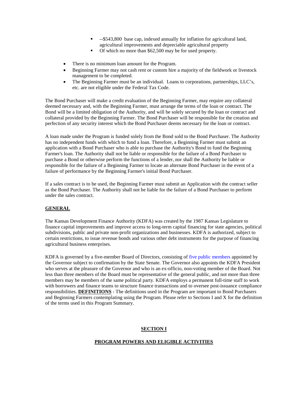- --\$543,800 base cap, indexed annually for inflation for agricultural land, agricultural improvements and depreciable agricultural property
- Of which no more than \$62,500 may be for used property.
- There is no minimum loan amount for the Program.
- Beginning Farmer may not cash rent or custom hire a majority of the fieldwork or livestock management to be completed.
- The Beginning Farmer must be an individual. Loans to corporations, partnerships, LLC's, etc. are not eligible under the Federal Tax Code.

The Bond Purchaser will make a credit evaluation of the Beginning Farmer, may require any collateral deemed necessary and, with the Beginning Farmer, must arrange the terms of the loan or contract. The Bond will be a limited obligation of the Authority, and will be solely secured by the loan or contract and collateral provided by the Beginning Farmer. The Bond Purchaser will be responsible for the creation and perfection of any security interest which the Bond Purchaser deems necessary for the loan or contract.

A loan made under the Program is funded solely from the Bond sold to the Bond Purchaser. The Authority has no independent funds with which to fund a loan. Therefore, a Beginning Farmer must submit an application with a Bond Purchaser who is able to purchase the Authority's Bond to fund the Beginning Farmer's loan. The Authority shall not be liable or responsible for the failure of a Bond Purchaser to purchase a Bond or otherwise perform the functions of a lender, nor shall the Authority be liable or responsible for the failure of a Beginning Farmer to locate an alternate Bond Purchaser in the event of a failure of performance by the Beginning Farmer's initial Bond Purchaser.

If a sales contract is to be used, the Beginning Farmer must submit an Application with the contract seller as the Bond Purchaser. The Authority shall not be liable for the failure of a Bond Purchaser to perform under the sales contract.

# **GENERAL**

The Kansas Development Finance Authority (KDFA) was created by the 1987 Kansas Legislature to finance capital improvements and improve access to long-term capital financing for state agencies, political subdivisions, public and private non-profit organizations and businesses. KDFA is authorized, subject to certain restrictions, to issue revenue bonds and various other debt instruments for the purpose of financing agricultural business enterprises.

KDFA is governed by a five-member Board of Directors, consisting of five public members appointed by the Governor subject to confirmation by the State Senate. The Governor also appoints the KDFA President who serves at the pleasure of the Governor and who is an ex-officio, non-voting member of the Board. Not less than three members of the Board must be representative of the general public, and not more than three members may be members of the same political party. KDFA employs a permanent full-time staff to work with borrowers and finance teams to structure finance transactions and to oversee post-issuance compliance responsibilities. **DEFINITIONS** - The definitions used in the Program are important to Bond Purchasers and Beginning Farmers contemplating using the Program. Please refer to Sections I and X for the definition of the terms used in this Program Summary.

# **SECTION I**

# **PROGRAM POWERS AND ELIGIBLE ACTIVITIES**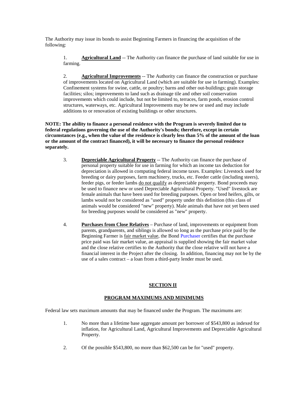The Authority may issue its bonds to assist Beginning Farmers in financing the acquisition of the following:

1. **Agricultural Land** -- The Authority can finance the purchase of land suitable for use in farming.

2. **Agricultural Improvements** -- The Authority can finance the construction or purchase of improvements located on Agricultural Land (which are suitable for use in farming). Examples: Confinement systems for swine, cattle, or poultry; barns and other out-buildings; grain storage facilities; silos; improvements to land such as drainage tile and other soil conservation improvements which could include, but not be limited to, terraces, farm ponds, erosion control structures, waterways, etc. Agricultural Improvements may be new or used and may include additions to or renovation of existing buildings or other structures.

**NOTE: The ability to finance a personal residence with the Program is severely limited due to federal regulations governing the use of the Authority's bonds; therefore, except in certain circumstances (e.g., when the value of the residence is clearly less than 5% of the amount of the loan or the amount of the contract financed), it will be necessary to finance the personal residence separately.**

- 3. **Depreciable Agricultural Property** -- The Authority can finance the purchase of personal property suitable for use in farming for which an income tax deduction for depreciation is allowed in computing federal income taxes. Examples: Livestock used for breeding or dairy purposes, farm machinery, trucks, etc. Feeder cattle (including steers), feeder pigs, or feeder lambs do not qualify as depreciable property. Bond proceeds may be used to finance new or used Depreciable Agricultural Property. "Used" livestock are female animals that have been used for breeding purposes. Open or bred heifers, gilts, or lambs would not be considered as "used" property under this definition (this class of animals would be considered "new" property). Male animals that have not yet been used for breeding purposes would be considered as "new" property.
- 4. **Purchases from Close Relatives** Purchase of land, improvements or equipment from parents, grandparents, and siblings is allowed so long as the purchase price paid by the Beginning Farmer is fair market value, the Bond Purchaser certifies that the purchase price paid was fair market value, an appraisal is supplied showing the fair market value and the close relative certifies to the Authority that the close relative will not have a financial interest in the Project after the closing. In addition, financing may not be by the use of a sales contract – a loan from a third-party lender must be used.

# **SECTION II**

# **PROGRAM MAXIMUMS AND MINIMUMS**

Federal law sets maximum amounts that may be financed under the Program. The maximums are:

- 1. No more than a lifetime base aggregate amount per borrower of \$543,800 as indexed for inflation, for Agricultural Land, Agricultural Improvements and Depreciable Agricultural Property.
- 2. Of the possible \$543,800, no more than \$62,500 can be for "used" property.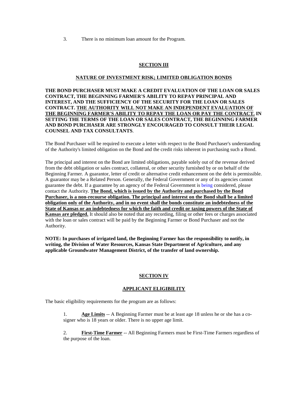3. There is no minimum loan amount for the Program.

#### **SECTION III**

#### **NATURE OF INVESTMENT RISK; LIMITED OBLIGATION BONDS**

**THE BOND PURCHASER MUST MAKE A CREDIT EVALUATION OF THE LOAN OR SALES CONTRACT, THE BEGINNING FARMER'S ABILITY TO REPAY PRINCIPAL AND INTEREST, AND THE SUFFICIENCY OF THE SECURITY FOR THE LOAN OR SALES CONTRACT. THE AUTHORITY WILL NOT MAKE AN INDEPENDENT EVALUATION OF THE BEGINNING FARMER'S ABILITY TO REPAY THE LOAN OR PAY THE CONTRACT. IN SETTING THE TERMS OF THE LOAN OR SALES CONTRACT, THE BEGINNING FARMER AND BOND PURCHASER ARE STRONGLY ENCOURAGED TO CONSULT THEIR LEGAL COUNSEL AND TAX CONSULTANTS**.

The Bond Purchaser will be required to execute a letter with respect to the Bond Purchaser's understanding of the Authority's limited obligation on the Bond and the credit risks inherent in purchasing such a Bond.

The principal and interest on the Bond are limited obligations, payable solely out of the revenue derived from the debt obligation or sales contract, collateral, or other security furnished by or on behalf of the Beginning Farmer. A guarantor, letter of credit or alternative credit enhancement on the debt is permissible. A guarantor may be a Related Person. Generally, the Federal Government or any of its agencies cannot guarantee the debt. If a guarantee by an agency of the Federal Government is being considered, please contact the Authority. **The Bond, which is issued by the Authority and purchased by the Bond Purchaser, is a non-recourse obligation. The principal and interest on the Bond shall be a limited obligation only of the Authority, and in no event shall the bonds constitute an indebtedness of the State of Kansas or an indebtedness for which the faith and credit or taxing powers of the State of Kansas are pledged.** It should also be noted that any recording, filing or other fees or charges associated with the loan or sales contract will be paid by the Beginning Farmer or Bond Purchaser and not the Authority.

**NOTE: In purchases of irrigated land, the Beginning Farmer has the responsibility to notify, in writing, the Division of Water Resources, Kansas State Department of Agriculture, and any applicable Groundwater Management District, of the transfer of land ownership.**

#### **SECTION IV**

#### **APPLICANT ELIGIBILITY**

The basic eligibility requirements for the program are as follows:

1. **Age Limits** -- A Beginning Farmer must be at least age 18 unless he or she has a cosigner who is 18 years or older. There is no upper age limit.

2. **First-Time Farmer** -- All Beginning Farmers must be First-Time Farmers regardless of the purpose of the loan.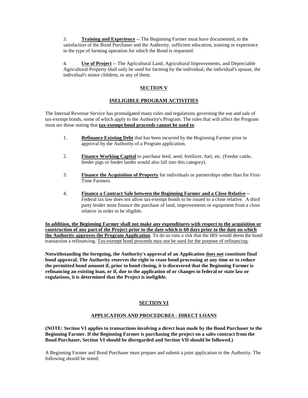3. **Training and Experience** -- The Beginning Farmer must have documented, to the satisfaction of the Bond Purchaser and the Authority, sufficient education, training or experience in the type of farming operation for which the Bond is requested.

4. **Use of Project** -- The Agricultural Land, Agricultural Improvements, and Depreciable Agricultural Property shall only be used for farming by the individual, the individual's spouse, the individual's minor children, or any of them.

# **SECTION V**

# **INELIGIBLE PROGRAM ACTIVITIES**

The Internal Revenue Service has promulgated many rules and regulations governing the use and sale of tax-exempt bonds, some of which apply to the Authority's Program. The rules that will affect the Program most are those stating that **tax-exempt bond proceeds cannot be used to**:

- 1. **Refinance Existing Debt** that has been incurred by the Beginning Farmer prior to approval by the Authority of a Program application.
- 2. **Finance Working Capital** to purchase feed, seed, fertilizer, fuel, etc. (Feeder cattle, feeder pigs or feeder lambs would also fall into this category).
- 3. **Finance the Acquisition of Property** for individuals or partnerships other than for First-Time Farmers.
- 4. **Finance a Contract Sale between the Beginning Farmer and a Close Relative –** Federal tax law does not allow tax-exempt bonds to be issued to a close relative. A third party lender must finance the purchase of land, improvements or equipment from a close relative in order to be eligible.

**In addition, the Beginning Farmer shall not make any expenditures with respect to the acquisition or construction of any part of the Project prior to the date which is 60 days prior to the date on which the Authority approves the Program Application**. To do so runs a risk that the IRS would deem the bond transaction a refinancing. Tax-exempt bond proceeds may not be used for the purpose of refinancing.

**Notwithstanding the foregoing, the Authority's approval of an Application does not constitute final bond approval. The Authority reserves the right to cease bond processing at any time or to reduce the permitted bond amount if, prior to bond closing, it is discovered that the Beginning Farmer is refinancing an existing loan, or if, due to the application of or changes in federal or state law or regulations, it is determined that the Project is ineligible.**

# **SECTION VI**

# **APPLICATION AND PROCEDURES - DIRECT LOANS**

**(NOTE: Section VI applies to transactions involving a direct loan made by the Bond Purchaser to the Beginning Farmer. If the Beginning Farmer is purchasing the project on a sales contract from the Bond Purchaser, Section VI should be disregarded and Section VII should be followed.)**

A Beginning Farmer and Bond Purchaser must prepare and submit a joint application to the Authority. The following should be noted: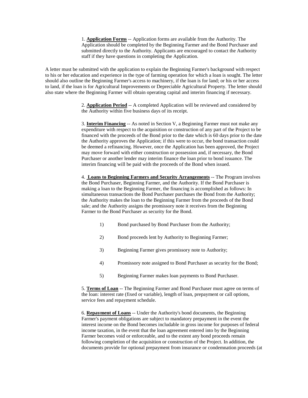1. **Application Forms** -- Application forms are available from the Authority. The Application should be completed by the Beginning Farmer and the Bond Purchaser and submitted directly to the Authority. Applicants are encouraged to contact the Authority staff if they have questions in completing the Application.

A letter must be submitted with the application to explain the Beginning Farmer's background with respect to his or her education and experience in the type of farming operation for which a loan is sought. The letter should also outline the Beginning Farmer's access to machinery, if the loan is for land; or his or her access to land, if the loan is for Agricultural Improvements or Depreciable Agricultural Property. The letter should also state where the Beginning Farmer will obtain operating capital and interim financing if necessary.

> 2. **Application Period** -- A completed Application will be reviewed and considered by the Authority within five business days of its receipt.

3. **Interim Financing** -- As noted in Section V, a Beginning Farmer must not make any expenditure with respect to the acquisition or construction of any part of the Project to be financed with the proceeds of the Bond prior to the date which is 60 days prior to the date the Authority approves the Application; if this were to occur, the bond transaction could be deemed a refinancing. However, once the Application has been approved, the Project may move forward with either construction or possession and, if necessary, the Bond Purchaser or another lender may interim finance the loan prior to bond issuance. The interim financing will be paid with the proceeds of the Bond when issued.

4. **Loans to Beginning Farmers and Security Arrangements** -- The Program involves the Bond Purchaser, Beginning Farmer, and the Authority. If the Bond Purchaser is making a loan to the Beginning Farmer, the financing is accomplished as follows: In simultaneous transactions the Bond Purchaser purchases the Bond from the Authority; the Authority makes the loan to the Beginning Farmer from the proceeds of the Bond sale; and the Authority assigns the promissory note it receives from the Beginning Farmer to the Bond Purchaser as security for the Bond.

- 1) Bond purchased by Bond Purchaser from the Authority;
- 2) Bond proceeds lent by Authority to Beginning Farmer;
- 3) Beginning Farmer gives promissory note to Authority;
- 4) Promissory note assigned to Bond Purchaser as security for the Bond;
- 5) Beginning Farmer makes loan payments to Bond Purchaser.

5. **Terms of Loan** -- The Beginning Farmer and Bond Purchaser must agree on terms of the loan: interest rate (fixed or variable), length of loan, prepayment or call options, service fees and repayment schedule.

6. **Repayment of Loans** -- Under the Authority's bond documents, the Beginning Farmer's payment obligations are subject to mandatory prepayment in the event the interest income on the Bond becomes includable in gross income for purposes of federal income taxation, in the event that the loan agreement entered into by the Beginning Farmer becomes void or enforceable, and to the extent any bond proceeds remain following completion of the acquisition or construction of the Project. In addition, the documents provide for optional prepayment from insurance or condemnation proceeds (at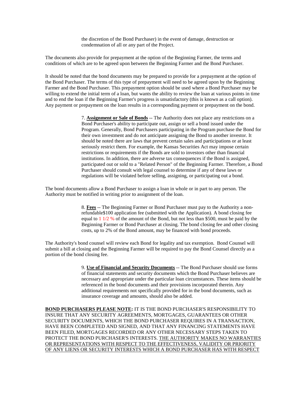the discretion of the Bond Purchaser) in the event of damage, destruction or condemnation of all or any part of the Project.

The documents also provide for prepayment at the option of the Beginning Farmer, the terms and conditions of which are to be agreed upon between the Beginning Farmer and the Bond Purchaser.

It should be noted that the bond documents may be prepared to provide for a prepayment at the option of the Bond Purchaser. The terms of this type of prepayment will need to be agreed upon by the Beginning Farmer and the Bond Purchaser. This prepayment option should be used where a Bond Purchaser may be willing to extend the initial term of a loan, but wants the ability to review the loan at various points in time and to end the loan if the Beginning Farmer's progress is unsatisfactory (this is known as a call option). Any payment or prepayment on the loan results in a corresponding payment or prepayment on the bond.

> 7. **Assignment or Sale of Bonds** -- The Authority does not place any restrictions on a Bond Purchaser's ability to participate out, assign or sell a bond issued under the Program. Generally, Bond Purchasers participating in the Program purchase the Bond for their own investment and do not anticipate assigning the Bond to another investor. It should be noted there are laws that prevent certain sales and participations or at least seriously restrict them. For example, the Kansas Securities Act may impose certain restrictions or requirements if the Bonds are sold to investors other than financial institutions. In addition, there are adverse tax consequences if the Bond is assigned, participated out or sold to a "Related Person" of the Beginning Farmer. Therefore, a Bond Purchaser should consult with legal counsel to determine if any of these laws or regulations will be violated before selling, assigning, or participating out a bond.

The bond documents allow a Bond Purchaser to assign a loan in whole or in part to any person. The Authority must be notified in writing prior to assignment of the loan.

> 8. **Fees** -- The Beginning Farmer or Bond Purchaser must pay to the Authority a nonrefundable\$100 application fee (submitted with the Application). A bond closing fee equal to 1 1/2 % of the amount of the Bond, but not less than \$500, must be paid by the Beginning Farmer or Bond Purchaser at closing. The bond closing fee and other closing costs, up to 2% of the Bond amount, may be financed with bond proceeds.

The Authority's bond counsel will review each Bond for legality and tax exemption. Bond Counsel will submit a bill at closing and the Beginning Farmer will be required to pay the Bond Counsel directly as a portion of the bond closing fee.

> 9. **Use of Financial and Security Documents** -- The Bond Purchaser should use forms of financial statements and security documents which the Bond Purchaser believes are necessary and appropriate under the particular loan circumstances. These items should be referenced in the bond documents and their provisions incorporated therein. Any additional requirements not specifically provided for in the bond documents, such as insurance coverage and amounts, should also be added.

**BOND PURCHASERS PLEASE NOTE:** IT IS THE BOND PURCHASER'S RESPONSIBILITY TO INSURE THAT ANY SECURITY AGREEMENTS, MORTGAGES, GUARANTEES OR OTHER SECURITY DOCUMENTS, WHICH THE BOND PURCHASER REQUIRES IN A TRANSACTION, HAVE BEEN COMPLETED AND SIGNED, AND THAT ANY FINANCING STATEMENTS HAVE BEEN FILED, MORTGAGES RECORDED OR ANY OTHER NECESSARY STEPS TAKEN TO PROTECT THE BOND PURCHASER'S INTERESTS. THE AUTHORITY MAKES NO WARRANTIES OR REPRESENTATIONS WITH RESPECT TO THE EFFECTIVENESS, VALIDITY OR PRIORITY OF ANY LIENS OR SECURITY INTERESTS WHICH A BOND PURCHASER HAS WITH RESPECT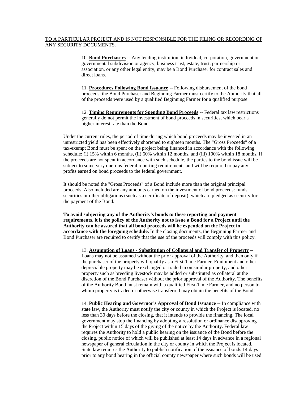#### TO A PARTICULAR PROJECT AND IS NOT RESPONSIBLE FOR THE FILING OR RECORDING OF ANY SECURITY DOCUMENTS.

10. **Bond Purchasers** -- Any lending institution, individual, corporation, government or governmental subdivision or agency, business trust, estate, trust, partnership or association, or any other legal entity, may be a Bond Purchaser for contract sales and direct loans.

11. **Procedures Following Bond Issuance** -- Following disbursement of the bond proceeds, the Bond Purchaser and Beginning Farmer must certify to the Authority that all of the proceeds were used by a qualified Beginning Farmer for a qualified purpose.

12. **Timing Requirements for Spending Bond Proceeds** -- Federal tax law restrictions generally do not permit the investment of bond proceeds in securities, which bear a higher interest rate than the Bond.

Under the current rules, the period of time during which bond proceeds may be invested in an unrestricted yield has been effectively shortened to eighteen months. The "Gross Proceeds" of a tax-exempt Bond must be spent on the project being financed in accordance with the following schedule: (i) 15% within 6 months, (ii) 60% within 12 months, and (iii) 100% within 18 months. If the proceeds are not spent in accordance with such schedule, the parties to the bond issue will be subject to some very onerous federal reporting requirements and will be required to pay any profits earned on bond proceeds to the federal government.

It should be noted the "Gross Proceeds" of a Bond include more than the original principal proceeds. Also included are any amounts earned on the investment of bond proceeds: funds, securities or other obligations (such as a certificate of deposit), which are pledged as security for the payment of the Bond.

**To avoid subjecting any of the Authority's bonds to these reporting and payment requirements, it is the policy of the Authority not to issue a Bond for a Project until the Authority can be assured that all bond proceeds will be expended on the Project in accordance with the foregoing schedule.** In the closing documents, the Beginning Farmer and Bond Purchaser are required to certify that the use of the proceeds will comply with this policy.

13. **Assumption of Loans - Substitution of Collateral and Transfer of Property** -- Loans may not be assumed without the prior approval of the Authority, and then only if the purchaser of the property will qualify as a First-Time Farmer. Equipment and other depreciable property may be exchanged or traded in on similar property, and other property such as breeding livestock may be added or substituted as collateral at the discretion of the Bond Purchaser without the prior approval of the Authority. The benefits of the Authority Bond must remain with a qualified First-Time Farmer, and no person to whom property is traded or otherwise transferred may obtain the benefits of the Bond.

14. **Public Hearing and Governor's Approval of Bond Issuance** -- In compliance with state law, the Authority must notify the city or county in which the Project is located, no less than 30 days before the closing, that it intends to provide the financing. The local government may stop the financing by adopting a resolution or ordinance disapproving the Project within 15 days of the giving of the notice by the Authority. Federal law requires the Authority to hold a public hearing on the issuance of the Bond before the closing, public notice of which will be published at least 14 days in advance in a regional newspaper of general circulation in the city or county in which the Project is located. State law requires the Authority to publish notification of the issuance of bonds 14 days prior to any bond hearing in the official county newspaper where such bonds will be used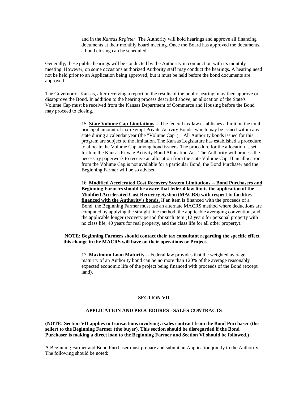and in the *Kansas Register*. The Authority will hold hearings and approve all financing documents at their monthly board meeting. Once the Board has approved the documents, a bond closing can be scheduled.

Generally, these public hearings will be conducted by the Authority in conjunction with its monthly meeting. However, on some occasions authorized Authority staff may conduct the hearings. A hearing need not be held prior to an Application being approved, but it must be held before the bond documents are approved.

The Governor of Kansas, after receiving a report on the results of the public hearing, may then approve or disapprove the Bond. In addition to the hearing process described above, an allocation of the State's Volume Cap must be received from the Kansas Department of Commerce and Housing before the Bond may proceed to closing.

> 15. **State Volume Cap Limitations** -- The federal tax law establishes a limit on the total principal amount of tax-exempt Private Activity Bonds, which may be issued within any state during a calendar year (the "Volume Cap"). All Authority bonds issued for this program are subject to the limitation. The Kansas Legislature has established a procedure to allocate the Volume Cap among bond issuers. The procedure for the allocation is set forth in the Kansas Private Activity Bond Allocation Act. The Authority will process the necessary paperwork to receive an allocation from the state Volume Cap. If an allocation from the Volume Cap is not available for a particular Bond, the Bond Purchaser and the Beginning Farmer will be so advised.

> 16. **Modified Accelerated Cost Recovery System Limitations** -- **Bond Purchasers and Beginning Farmers should be aware that federal law limits the application of the Modified Accelerated Cost Recovery System (MACRS) with respect to facilities financed with the Authority's bonds.** If an item is financed with the proceeds of a Bond, the Beginning Farmer must use an alternate MACRS method where deductions are computed by applying the straight line method, the applicable averaging convention, and the applicable longer recovery period for such item (12 years for personal property with no class life, 40 years for real property, and the class life for all other property).

#### **NOTE: Beginning Farmers should contact their tax consultant regarding the specific effect this change in the MACRS will have on their operations or Project.**

17. **Maximum Loan Maturity** -- Federal law provides that the weighted average maturity of an Authority bond can be no more than 120% of the average reasonably expected economic life of the project being financed with proceeds of the Bond (except land).

#### **SECTION VII**

#### **APPLICATION AND PROCEDURES - SALES CONTRACTS**

**(NOTE: Section VII applies to transactions involving a sales contract from the Bond Purchaser (the seller) to the Beginning Farmer (the buyer). This section should be disregarded if the Bond Purchaser is making a direct loan to the Beginning Farmer and Section VI should be followed.)**

A Beginning Farmer and Bond Purchaser must prepare and submit an Application jointly to the Authority. The following should be noted: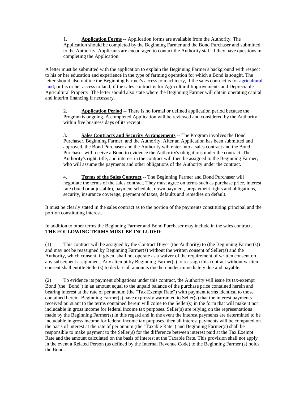1. **Application Forms** -- Application forms are available from the Authority. The Application should be completed by the Beginning Farmer and the Bond Purchaser and submitted to the Authority. Applicants are encouraged to contact the Authority staff if they have questions in completing the Application.

A letter must be submitted with the application to explain the Beginning Farmer's background with respect to his or her education and experience in the type of farming operation for which a Bond is sought. The letter should also outline the Beginning Farmer's access to machinery, if the sales contract is for agricultural land; or his or her access to land, if the sales contract is for Agricultural Improvements and Depreciable Agricultural Property. The letter should also state where the Beginning Farmer will obtain operating capital and interim financing if necessary.

2. **Application Period** -- There is no formal or defined application period because the Program is ongoing. A completed Application will be reviewed and considered by the Authority within five business days of its receipt.

3. **Sales Contracts and Security Arrangements** -- The Program involves the Bond Purchaser, Beginning Farmer, and the Authority. After an Application has been submitted and approved, the Bond Purchaser and the Authority will enter into a sales contract and the Bond Purchaser will receive a Bond to evidence the Authority's obligations under the contract. The Authority's right, title, and interest in the contract will then be assigned to the Beginning Farmer, who will assume the payments and other obligations of the Authority under the contract.

4. **Terms of the Sales Contract** -- The Beginning Farmer and Bond Purchaser will negotiate the terms of the sales contract. They must agree on terms such as purchase price, interest rate (fixed or adjustable), payment schedule, down payment, prepayment rights and obligations, security, insurance coverage, payment of taxes, defaults and remedies on default.

It must be clearly stated in the sales contract as to the portion of the payments constituting principal and the portion constituting interest.

# In addition to other terms the Beginning Farmer and Bond Purchaser may include in the sales contract, **THE FOLLOWING TERMS MUST BE INCLUDED:**

(1) This contract will be assigned by the Contract Buyer (the Authority) to (the Beginning Farmer(s)) and may not be reassigned by Beginning Farmer(s) without the written consent of Seller(s) and the Authority, which consent, if given, shall not operate as a waiver of the requirement of written consent on any subsequent assignment. Any attempt by Beginning Farmer(s) to reassign this contract without written consent shall entitle Seller(s) to declare all amounts due hereunder immediately due and payable.

(2) To evidence its payment obligations under this contract, the Authority will issue its tax-exempt Bond (the "Bond") in an amount equal to the unpaid balance of the purchase price contained herein and bearing interest at the rate of per annum (the "Tax Exempt Rate") with payment terms identical to those contained herein. Beginning Farmer(s) have expressly warranted to Seller(s) that the interest payments received pursuant to the terms contained herein will come to the Seller(s) in the form that will make it not includable in gross income for federal income tax purposes. Seller(s) are relying on the representations made by the Beginning Farmer(s) in this regard and in the event the interest payments are determined to be includable in gross income for federal income tax purposes, then all interest payments will be computed on the basis of interest at the rate of per annum (the "Taxable Rate") and Beginning Farmer(s) shall be responsible to make payment to the Seller(s) for the difference between interest paid at the Tax Exempt Rate and the amount calculated on the basis of interest at the Taxable Rate. This provision shall not apply in the event a Related Person (as defined by the Internal Revenue Code) to the Beginning Farmer (s) holds the Bond.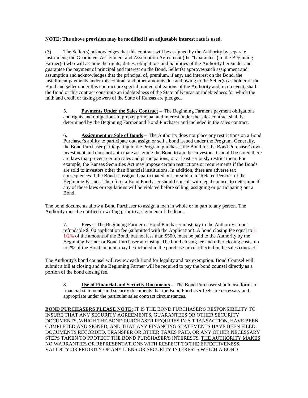#### **NOTE: The above provision may be modified if an adjustable interest rate is used.**

(3) The Seller(s) acknowledges that this contract will be assigned by the Authority by separate instrument, the Guarantee, Assignment and Assumption Agreement (the "Guarantee") to the Beginning Farmer(s) who will assume the rights, duties, obligations and liabilities of the Authority hereunder and guarantee the payment of principal and interest on the Bond. Seller(s) approves such assignment and assumption and acknowledges that the principal of, premium, if any, and interest on the Bond, the installment payments under this contract and other amounts due and owing to the Seller(s) as holder of the Bond and seller under this contract are special limited obligations of the Authority and, in no event, shall the Bond or this contract constitute an indebtedness of the State of Kansas or indebtedness for which the faith and credit or taxing powers of the State of Kansas are pledged.

5. **Payments Under the Sales Contract** -- The Beginning Farmer's payment obligations and rights and obligations to prepay principal and interest under the sales contract shall be determined by the Beginning Farmer and Bond Purchaser and included in the sales contract.

6. **Assignment or Sale of Bonds** -- The Authority does not place any restrictions on a Bond Purchaser's ability to participate out, assign or sell a bond issued under the Program. Generally, the Bond Purchaser participating in the Program purchases the Bond for the Bond Purchaser's own investment and does not anticipate assigning the Bond to another investor. It should be noted there are laws that prevent certain sales and participations, or at least seriously restrict them. For example, the Kansas Securities Act may impose certain restrictions or requirements if the Bonds are sold to investors other than financial institutions. In addition, there are adverse tax consequences if the Bond is assigned, participated out, or sold to a "Related Person" of the Beginning Farmer. Therefore, a Bond Purchaser should consult with legal counsel to determine if any of these laws or regulations will be violated before selling, assigning or participating out a Bond.

The bond documents allow a Bond Purchaser to assign a loan in whole or in part to any person. The Authority must be notified in writing prior to assignment of the loan.

7. **Fees** -- The Beginning Farmer or Bond Purchaser must pay to the Authority a nonrefundable \$100 application fee (submitted with the Application). A bond closing fee equal to 1 1/2% of the amount of the Bond, but not less than \$500, must be paid to the Authority by the Beginning Farmer or Bond Purchaser at closing. The bond closing fee and other closing costs, up to 2% of the Bond amount, may be included in the purchase price reflected in the sales contract.

The Authority's bond counsel will review each Bond for legality and tax exemption. Bond Counsel will submit a bill at closing and the Beginning Farmer will be required to pay the bond counsel directly as a portion of the bond closing fee.

8. **Use of Financial and Security Documents** -- The Bond Purchaser should use forms of financial statements and security documents that the Bond Purchaser feels are necessary and appropriate under the particular sales contract circumstances.

**BOND PURCHASERS PLEASE NOTE:** IT IS THE BOND PURCHASER'S RESPONSIBILITY TO INSURE THAT ANY SECURITY AGREEMENTS, GUARANTEES OR OTHER SECURITY DOCUMENTS, WHICH THE BOND PURCHASER REQUIRES IN A TRANSACTION, HAVE BEEN COMPLETED AND SIGNED, AND THAT ANY FINANCING STATEMENTS HAVE BEEN FILED, DOCUMENTS RECORDED, TRANSFER OR OTHER TAXES PAID, OR ANY OTHER NECESSARY STEPS TAKEN TO PROTECT THE BOND PURCHASER'S INTERESTS. THE AUTHORITY MAKES NO WARRANTIES OR REPRESENTATIONS WITH RESPECT TO THE EFFECTIVENESS, VALIDITY OR PRIORITY OF ANY LIENS OR SECURITY INTERESTS WHICH A BOND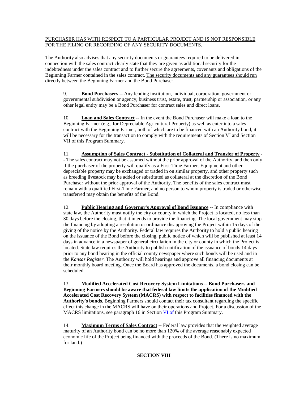#### PURCHASER HAS WITH RESPECT TO A PARTICULAR PROJECT AND IS NOT RESPONSIBLE FOR THE FILING OR RECORDING OF ANY SECURITY DOCUMENTS.

The Authority also advises that any security documents or guarantees required to be delivered in connection with the sales contract clearly state that they are given as additional security for the indebtedness under the sales contract and to further secure the agreements, covenants and obligations of the Beginning Farmer contained in the sales contract. The security documents and any guarantees should run directly between the Beginning Farmer and the Bond Purchaser.

9. **Bond Purchasers** -- Any lending institution, individual, corporation, government or governmental subdivision or agency, business trust, estate, trust, partnership or association, or any other legal entity may be a Bond Purchaser for contract sales and direct loans.

10. **Loan and Sales Contract** -- In the event the Bond Purchaser will make a loan to the Beginning Farmer (e.g., for Depreciable Agricultural Property) as well as enter into a sales contract with the Beginning Farmer, both of which are to be financed with an Authority bond, it will be necessary for the transaction to comply with the requirements of Section VI and Section VII of this Program Summary.

11. **Assumption of Sales Contract - Substitution of Collateral and Transfer of Property** - - The sales contract may not be assumed without the prior approval of the Authority, and then only if the purchaser of the property will qualify as a First-Time Farmer. Equipment and other depreciable property may be exchanged or traded in on similar property, and other property such as breeding livestock may be added or substituted as collateral at the discretion of the Bond Purchaser without the prior approval of the Authority. The benefits of the sales contract must remain with a qualified First-Time Farmer, and no person to whom property is traded or otherwise transferred may obtain the benefits of the Bond.

12. **Public Hearing and Governor's Approval of Bond Issuance** -- In compliance with state law, the Authority must notify the city or county in which the Project is located, no less than 30 days before the closing, that it intends to provide the financing. The local government may stop the financing by adopting a resolution or ordinance disapproving the Project within 15 days of the giving of the notice by the Authority. Federal law requires the Authority to hold a public hearing on the issuance of the Bond before the closing, public notice of which will be published at least 14 days in advance in a newspaper of general circulation in the city or county in which the Project is located. State law requires the Authority to publish notification of the issuance of bonds 14 days prior to any bond hearing in the official county newspaper where such bonds will be used and in the *Kansas Register*. The Authority will hold hearings and approve all financing documents at their monthly board meeting. Once the Board has approved the documents, a bond closing can be scheduled.

13. **Modified Accelerated Cost Recovery System Limitations** -- **Bond Purchasers and Beginning Farmers should be aware that federal law limits the application of the Modified Accelerated Cost Recovery System (MACRS) with respect to facilities financed with the Authority's bonds.** Beginning Farmers should contact their tax consultant regarding the specific effect this change in the MACRS will have on their operations and Project. For a discussion of the MACRS limitations, see paragraph 16 in Section VI of this Program Summary.

14. **Maximum Terms of Sales Contract** -- Federal law provides that the weighted average maturity of an Authority bond can be no more than 120% of the average reasonably expected economic life of the Project being financed with the proceeds of the Bond. (There is no maximum for land.)

# **SECTION VIII**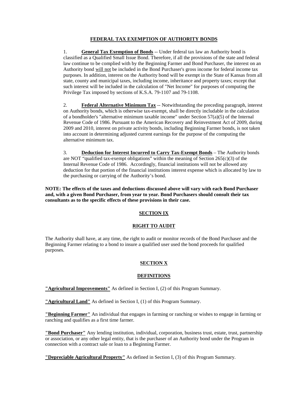#### **FEDERAL TAX EXEMPTION OF AUTHORITY BONDS**

1. **General Tax Exemption of Bonds** -- Under federal tax law an Authority bond is classified as a Qualified Small Issue Bond. Therefore, if all the provisions of the state and federal law continue to be complied with by the Beginning Farmer and Bond Purchaser, the interest on an Authority bond will not be included in the Bond Purchaser's gross income for federal income tax purposes. In addition, interest on the Authority bond will be exempt in the State of Kansas from all state, county and municipal taxes, including income, inheritance and property taxes; except that such interest will be included in the calculation of "Net Income" for purposes of computing the Privilege Tax imposed by sections of K.S.A. 79-1107 and 79-1108.

2. **Federal Alternative Minimum Tax** -- Notwithstanding the preceding paragraph, interest on Authority bonds, which is otherwise tax-exempt, shall be directly includable in the calculation of a bondholder's "alternative minimum taxable income" under Section  $57(a)(5)$  of the Internal Revenue Code of 1986. Pursuant to the American Recovery and Reinvestment Act of 2009, during 2009 and 2010, interest on private activity bonds, including Beginning Farmer bonds, is not taken into account in determining adjusted current earnings for the purpose of the computing the alternative minimum tax.

3. **Deduction for Interest Incurred to Carry Tax-Exempt Bonds** – The Authority bonds are NOT "qualified tax-exempt obligations" within the meaning of Section  $265(c)(3)$  of the Internal Revenue Code of 1986. Accordingly, financial institutions will not be allowed any deduction for that portion of the financial institutions interest expense which is allocated by law to the purchasing or carrying of the Authority's bond.

**NOTE: The effects of the taxes and deductions discussed above will vary with each Bond Purchaser and, with a given Bond Purchaser, from year to year. Bond Purchasers should consult their tax consultants as to the specific effects of these provisions in their case.**

# **SECTION IX**

#### **RIGHT TO AUDIT**

The Authority shall have, at any time, the right to audit or monitor records of the Bond Purchaser and the Beginning Farmer relating to a bond to insure a qualified user used the bond proceeds for qualified purposes.

# **SECTION X**

#### **DEFINITIONS**

**"Agricultural Improvements"** As defined in Section I, (2) of this Program Summary.

**"Agricultural Land"** As defined in Section I, (1) of this Program Summary.

**"Beginning Farmer"** An individual that engages in farming or ranching or wishes to engage in farming or ranching and qualifies as a first time farmer.

**"Bond Purchaser"** Any lending institution, individual, corporation, business trust, estate, trust, partnership or association, or any other legal entity, that is the purchaser of an Authority bond under the Program in connection with a contract sale or loan to a Beginning Farmer.

**"Depreciable Agricultural Property"** As defined in Section I, (3) of this Program Summary.